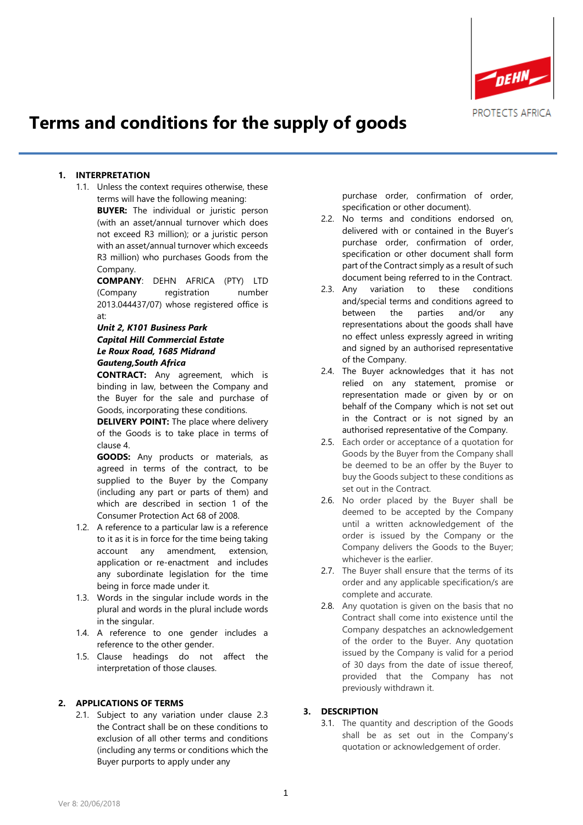

# **Terms and conditions for the supply of goods**

#### **1. INTERPRETATION**

1.1. Unless the context requires otherwise, these terms will have the following meaning: **BUYER:** The individual or juristic person (with an asset/annual turnover which does not exceed R3 million); or a juristic person with an asset/annual turnover which exceeds R3 million) who purchases Goods from the

> Company. **COMPANY**: DEHN AFRICA (PTY) LTD

> (Company registration number 2013.044437/07) whose registered office is at:

## *Unit 2, K101 Business Park Capital Hill Commercial Estate Le Roux Road, 1685 Midrand Gauteng,South Africa*

**CONTRACT:** Any agreement, which is binding in law, between the Company and the Buyer for the sale and purchase of Goods, incorporating these conditions.

**DELIVERY POINT:** The place where delivery of the Goods is to take place in terms of clause 4.

**GOODS:** Any products or materials, as agreed in terms of the contract, to be supplied to the Buyer by the Company (including any part or parts of them) and which are described in section 1 of the Consumer Protection Act 68 of 2008.

- 1.2. A reference to a particular law is a reference to it as it is in force for the time being taking account any amendment, extension, application or re-enactment and includes any subordinate legislation for the time being in force made under it.
- 1.3. Words in the singular include words in the plural and words in the plural include words in the singular.
- 1.4. A reference to one gender includes a reference to the other gender.
- 1.5. Clause headings do not affect the interpretation of those clauses.

#### **2. APPLICATIONS OF TERMS**

2.1. Subject to any variation under clause 2.3 the Contract shall be on these conditions to exclusion of all other terms and conditions (including any terms or conditions which the Buyer purports to apply under any

purchase order, confirmation of order, specification or other document).

- 2.2. No terms and conditions endorsed on, delivered with or contained in the Buyer's purchase order, confirmation of order, specification or other document shall form part of the Contract simply as a result of such document being referred to in the Contract.
- 2.3. Any variation to these conditions and/special terms and conditions agreed to between the parties and/or any representations about the goods shall have no effect unless expressly agreed in writing and signed by an authorised representative of the Company.
- 2.4. The Buyer acknowledges that it has not relied on any statement, promise or representation made or given by or on behalf of the Company which is not set out in the Contract or is not signed by an authorised representative of the Company.
- 2.5. Each order or acceptance of a quotation for Goods by the Buyer from the Company shall be deemed to be an offer by the Buyer to buy the Goods subject to these conditions as set out in the Contract.
- 2.6. No order placed by the Buyer shall be deemed to be accepted by the Company until a written acknowledgement of the order is issued by the Company or the Company delivers the Goods to the Buyer; whichever is the earlier.
- 2.7. The Buyer shall ensure that the terms of its order and any applicable specification/s are complete and accurate.
- 2.8. Any quotation is given on the basis that no Contract shall come into existence until the Company despatches an acknowledgement of the order to the Buyer. Any quotation issued by the Company is valid for a period of 30 days from the date of issue thereof, provided that the Company has not previously withdrawn it.

#### **3. DESCRIPTION**

3.1. The quantity and description of the Goods shall be as set out in the Company's quotation or acknowledgement of order.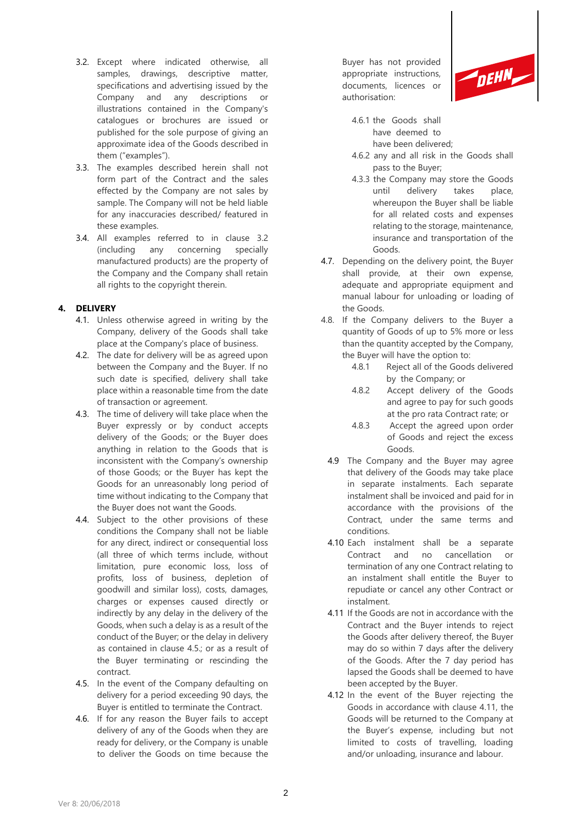- 3.2. Except where indicated otherwise, all samples, drawings, descriptive matter, specifications and advertising issued by the Company and any descriptions or illustrations contained in the Company's catalogues or brochures are issued or published for the sole purpose of giving an approximate idea of the Goods described in them ("examples").
- 3.3. The examples described herein shall not form part of the Contract and the sales effected by the Company are not sales by sample. The Company will not be held liable for any inaccuracies described/ featured in these examples.
- 3.4. All examples referred to in clause 3.2 (including any concerning specially manufactured products) are the property of the Company and the Company shall retain all rights to the copyright therein.

## **4. DELIVERY**

- 4.1. Unless otherwise agreed in writing by the Company, delivery of the Goods shall take place at the Company's place of business.
- 4.2. The date for delivery will be as agreed upon between the Company and the Buyer. If no such date is specified, delivery shall take place within a reasonable time from the date of transaction or agreement.
- 4.3. The time of delivery will take place when the Buyer expressly or by conduct accepts delivery of the Goods; or the Buyer does anything in relation to the Goods that is inconsistent with the Company's ownership of those Goods; or the Buyer has kept the Goods for an unreasonably long period of time without indicating to the Company that the Buyer does not want the Goods.
- 4.4. Subject to the other provisions of these conditions the Company shall not be liable for any direct, indirect or consequential loss (all three of which terms include, without limitation, pure economic loss, loss of profits, loss of business, depletion of goodwill and similar loss), costs, damages, charges or expenses caused directly or indirectly by any delay in the delivery of the Goods, when such a delay is as a result of the conduct of the Buyer; or the delay in delivery as contained in clause 4.5.; or as a result of the Buyer terminating or rescinding the contract.
- 4.5. In the event of the Company defaulting on delivery for a period exceeding 90 days, the Buyer is entitled to terminate the Contract.
- 4.6. If for any reason the Buyer fails to accept delivery of any of the Goods when they are ready for delivery, or the Company is unable to deliver the Goods on time because the

Buyer has not provided appropriate instructions, documents, licences or authorisation:



- 4.6.1 the Goods shall have deemed to have been delivered;
- 4.6.2 any and all risk in the Goods shall pass to the Buyer;
- 4.3.3 the Company may store the Goods until delivery takes place, whereupon the Buyer shall be liable for all related costs and expenses relating to the storage, maintenance, insurance and transportation of the Goods.
- 4.7. Depending on the delivery point, the Buyer shall provide, at their own expense, adequate and appropriate equipment and manual labour for unloading or loading of the Goods.
- 4.8. If the Company delivers to the Buyer a quantity of Goods of up to 5% more or less than the quantity accepted by the Company, the Buyer will have the option to:
	- 4.8.1 Reject all of the Goods delivered by the Company; or
	- 4.8.2 Accept delivery of the Goods and agree to pay for such goods at the pro rata Contract rate; or
	- 4.8.3 Accept the agreed upon order of Goods and reject the excess Goods.
	- 4.9 The Company and the Buyer may agree that delivery of the Goods may take place in separate instalments. Each separate instalment shall be invoiced and paid for in accordance with the provisions of the Contract, under the same terms and conditions.
	- 4.10 Each instalment shall be a separate Contract and no cancellation or termination of any one Contract relating to an instalment shall entitle the Buyer to repudiate or cancel any other Contract or instalment.
	- 4.11 If the Goods are not in accordance with the Contract and the Buyer intends to reject the Goods after delivery thereof, the Buyer may do so within 7 days after the delivery of the Goods. After the 7 day period has lapsed the Goods shall be deemed to have been accepted by the Buyer.
	- 4.12 In the event of the Buyer rejecting the Goods in accordance with clause 4.11, the Goods will be returned to the Company at the Buyer's expense, including but not limited to costs of travelling, loading and/or unloading, insurance and labour.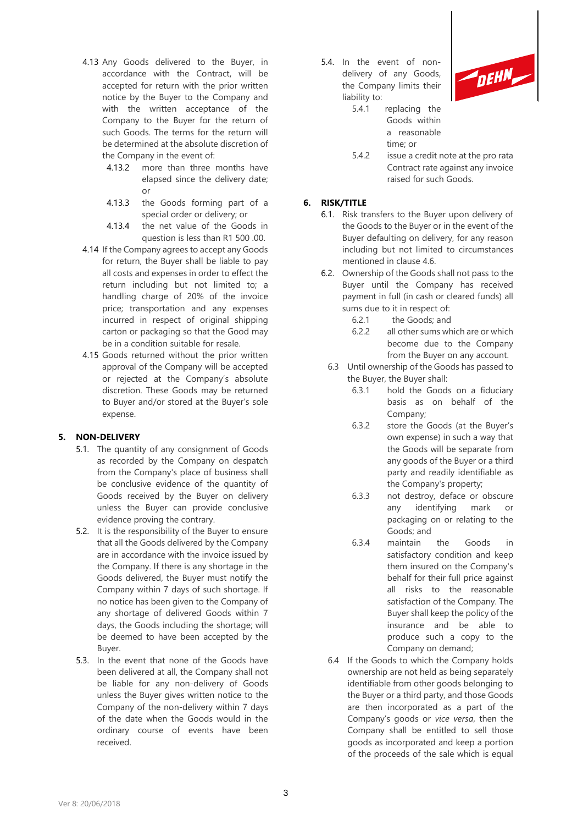- 4.13 Any Goods delivered to the Buyer, in accordance with the Contract, will be accepted for return with the prior written notice by the Buyer to the Company and with the written acceptance of the Company to the Buyer for the return of such Goods. The terms for the return will be determined at the absolute discretion of the Company in the event of:
	- 4.13.2 more than three months have elapsed since the delivery date;  $\alpha$ r
	- 4.13.3 the Goods forming part of a special order or delivery; or
	- 4.13.4 the net value of the Goods in question is less than R1 500 .00.
- 4.14 If the Company agrees to accept any Goods for return, the Buyer shall be liable to pay all costs and expenses in order to effect the return including but not limited to; a handling charge of 20% of the invoice price; transportation and any expenses incurred in respect of original shipping carton or packaging so that the Good may be in a condition suitable for resale.
- 4.15 Goods returned without the prior written approval of the Company will be accepted or rejected at the Company's absolute discretion. These Goods may be returned to Buyer and/or stored at the Buyer's sole expense.

## **5. NON-DELIVERY**

- 5.1. The quantity of any consignment of Goods as recorded by the Company on despatch from the Company's place of business shall be conclusive evidence of the quantity of Goods received by the Buyer on delivery unless the Buyer can provide conclusive evidence proving the contrary.
- 5.2. It is the responsibility of the Buyer to ensure that all the Goods delivered by the Company are in accordance with the invoice issued by the Company. If there is any shortage in the Goods delivered, the Buyer must notify the Company within 7 days of such shortage. If no notice has been given to the Company of any shortage of delivered Goods within 7 days, the Goods including the shortage; will be deemed to have been accepted by the Buyer.
- 5.3. In the event that none of the Goods have been delivered at all, the Company shall not be liable for any non-delivery of Goods unless the Buyer gives written notice to the Company of the non-delivery within 7 days of the date when the Goods would in the ordinary course of events have been received.

5.4. In the event of nondelivery of any Goods, the Company limits their liability to:



- 5.4.1 replacing the Goods within a reasonable time; or
- 5.4.2 issue a credit note at the pro rata Contract rate against any invoice raised for such Goods.

## **6. RISK/TITLE**

- 6.1. Risk transfers to the Buyer upon delivery of the Goods to the Buyer or in the event of the Buyer defaulting on delivery, for any reason including but not limited to circumstances mentioned in clause 4.6.
- 6.2. Ownership of the Goods shall not pass to the Buyer until the Company has received payment in full (in cash or cleared funds) all sums due to it in respect of:
	- 6.2.1 the Goods; and
	- 6.2.2 all other sums which are or which become due to the Company from the Buyer on any account.
- 6.3 Until ownership of the Goods has passed to the Buyer, the Buyer shall:
	- 6.3.1 hold the Goods on a fiduciary basis as on behalf of the Company;
	- 6.3.2 store the Goods (at the Buyer's own expense) in such a way that the Goods will be separate from any goods of the Buyer or a third party and readily identifiable as the Company's property;
	- 6.3.3 not destroy, deface or obscure any identifying mark or packaging on or relating to the Goods; and
	- 6.3.4 maintain the Goods in satisfactory condition and keep them insured on the Company's behalf for their full price against all risks to the reasonable satisfaction of the Company. The Buyer shall keep the policy of the insurance and be able to produce such a copy to the Company on demand;
- 6.4 If the Goods to which the Company holds ownership are not held as being separately identifiable from other goods belonging to the Buyer or a third party, and those Goods are then incorporated as a part of the Company's goods or *vice versa*, then the Company shall be entitled to sell those goods as incorporated and keep a portion of the proceeds of the sale which is equal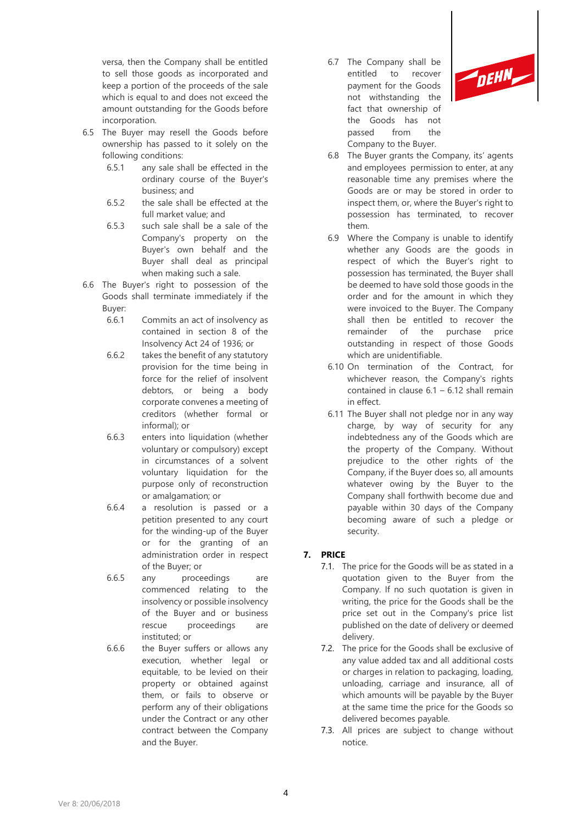versa, then the Company shall be entitled to sell those goods as incorporated and keep a portion of the proceeds of the sale which is equal to and does not exceed the amount outstanding for the Goods before incorporation.

- 6.5 The Buyer may resell the Goods before ownership has passed to it solely on the following conditions:
	- 6.5.1 any sale shall be effected in the ordinary course of the Buyer's business; and
	- 6.5.2 the sale shall be effected at the full market value; and
	- 6.5.3 such sale shall be a sale of the Company's property on the Buyer's own behalf and the Buyer shall deal as principal when making such a sale.
- 6.6 The Buyer's right to possession of the Goods shall terminate immediately if the Buyer:
	- 6.6.1 Commits an act of insolvency as contained in section 8 of the Insolvency Act 24 of 1936; or
	- 6.6.2 takes the benefit of any statutory provision for the time being in force for the relief of insolvent debtors, or being a body corporate convenes a meeting of creditors (whether formal or informal); or
	- 6.6.3 enters into liquidation (whether voluntary or compulsory) except in circumstances of a solvent voluntary liquidation for the purpose only of reconstruction or amalgamation; or
	- 6.6.4 a resolution is passed or a petition presented to any court for the winding-up of the Buyer or for the granting of an administration order in respect of the Buyer; or
	- 6.6.5 any proceedings are commenced relating to the insolvency or possible insolvency of the Buyer and or business rescue proceedings are instituted; or
	- 6.6.6 the Buyer suffers or allows any execution, whether legal or equitable, to be levied on their property or obtained against them, or fails to observe or perform any of their obligations under the Contract or any other contract between the Company and the Buyer.

6.7 The Company shall be entitled to recover payment for the Goods not withstanding the fact that ownership of the Goods has not passed from the Company to the Buyer.



- 6.8 The Buyer grants the Company, its' agents and employees permission to enter, at any reasonable time any premises where the Goods are or may be stored in order to inspect them, or, where the Buyer's right to possession has terminated, to recover them.
- 6.9 Where the Company is unable to identify whether any Goods are the goods in respect of which the Buyer's right to possession has terminated, the Buyer shall be deemed to have sold those goods in the order and for the amount in which they were invoiced to the Buyer. The Company shall then be entitled to recover the remainder of the purchase price outstanding in respect of those Goods which are unidentifiable.
- 6.10 On termination of the Contract, for whichever reason, the Company's rights contained in clause  $6.1 - 6.12$  shall remain in effect.
- 6.11 The Buyer shall not pledge nor in any way charge, by way of security for any indebtedness any of the Goods which are the property of the Company. Without prejudice to the other rights of the Company, if the Buyer does so, all amounts whatever owing by the Buyer to the Company shall forthwith become due and payable within 30 days of the Company becoming aware of such a pledge or security.

## **7. PRICE**

- 7.1. The price for the Goods will be as stated in a quotation given to the Buyer from the Company. If no such quotation is given in writing, the price for the Goods shall be the price set out in the Company's price list published on the date of delivery or deemed delivery.
- 7.2. The price for the Goods shall be exclusive of any value added tax and all additional costs or charges in relation to packaging, loading, unloading, carriage and insurance, all of which amounts will be payable by the Buyer at the same time the price for the Goods so delivered becomes payable.
- 7.3. All prices are subject to change without notice.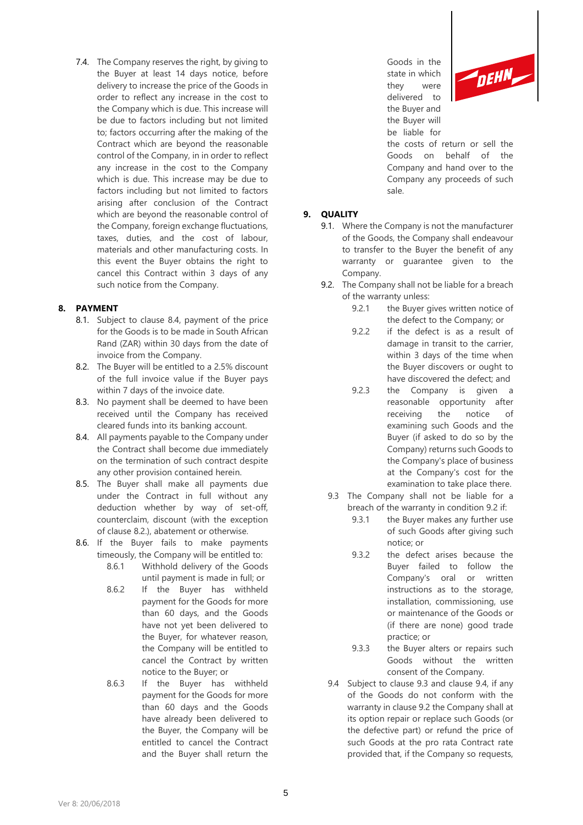7.4. The Company reserves the right, by giving to the Buyer at least 14 days notice, before delivery to increase the price of the Goods in order to reflect any increase in the cost to the Company which is due. This increase will be due to factors including but not limited to; factors occurring after the making of the Contract which are beyond the reasonable control of the Company, in in order to reflect any increase in the cost to the Company which is due. This increase may be due to factors including but not limited to factors arising after conclusion of the Contract which are beyond the reasonable control of the Company, foreign exchange fluctuations, taxes, duties, and the cost of labour, materials and other manufacturing costs. In this event the Buyer obtains the right to cancel this Contract within 3 days of any such notice from the Company.

#### **8. PAYMENT**

- 8.1. Subject to clause 8.4, payment of the price for the Goods is to be made in South African Rand (ZAR) within 30 days from the date of invoice from the Company.
- 8.2. The Buyer will be entitled to a 2.5% discount of the full invoice value if the Buyer pays within 7 days of the invoice date.
- 8.3. No payment shall be deemed to have been received until the Company has received cleared funds into its banking account.
- 8.4. All payments payable to the Company under the Contract shall become due immediately on the termination of such contract despite any other provision contained herein.
- 8.5. The Buyer shall make all payments due under the Contract in full without any deduction whether by way of set-off, counterclaim, discount (with the exception of clause 8.2.), abatement or otherwise.
- 8.6. If the Buyer fails to make payments timeously, the Company will be entitled to:
	- 8.6.1 Withhold delivery of the Goods until payment is made in full; or
	- 8.6.2 If the Buyer has withheld payment for the Goods for more than 60 days, and the Goods have not yet been delivered to the Buyer, for whatever reason, the Company will be entitled to cancel the Contract by written notice to the Buyer; or
	- 8.6.3 If the Buyer has withheld payment for the Goods for more than 60 days and the Goods have already been delivered to the Buyer, the Company will be entitled to cancel the Contract and the Buyer shall return the

Goods in the state in which they were delivered to the Buyer and the Buyer will be liable for



the costs of return or sell the Goods on behalf of the Company and hand over to the Company any proceeds of such sale.

## **9. QUALITY**

- 9.1. Where the Company is not the manufacturer of the Goods, the Company shall endeavour to transfer to the Buyer the benefit of any warranty or guarantee given to the Company.
- 9.2. The Company shall not be liable for a breach of the warranty unless:
	- 9.2.1 the Buyer gives written notice of the defect to the Company; or
	- 9.2.2 if the defect is as a result of damage in transit to the carrier, within 3 days of the time when the Buyer discovers or ought to have discovered the defect; and
	- 9.2.3 the Company is given a reasonable opportunity after receiving the notice of examining such Goods and the Buyer (if asked to do so by the Company) returns such Goods to the Company's place of business at the Company's cost for the examination to take place there.
- 9.3 The Company shall not be liable for a breach of the warranty in condition 9.2 if:
	- 9.3.1 the Buyer makes any further use of such Goods after giving such notice; or
	- 9.3.2 the defect arises because the Buyer failed to follow the Company's oral or written instructions as to the storage, installation, commissioning, use or maintenance of the Goods or (if there are none) good trade practice; or
	- 9.3.3 the Buyer alters or repairs such Goods without the written consent of the Company.
- 9.4 Subject to clause 9.3 and clause 9.4, if any of the Goods do not conform with the warranty in clause 9.2 the Company shall at its option repair or replace such Goods (or the defective part) or refund the price of such Goods at the pro rata Contract rate provided that, if the Company so requests,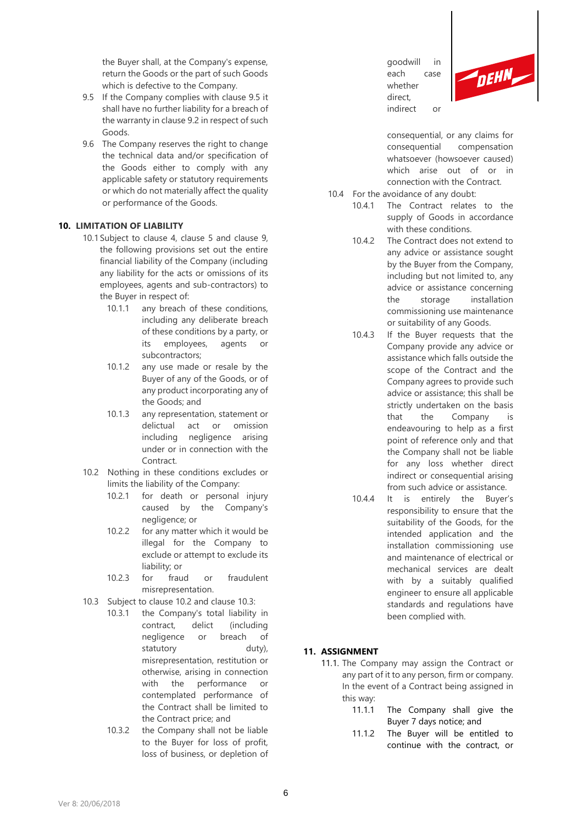the Buyer shall, at the Company's expense, return the Goods or the part of such Goods which is defective to the Company.

- 9.5 If the Company complies with clause 9.5 it shall have no further liability for a breach of the warranty in clause 9.2 in respect of such Goods.
- 9.6 The Company reserves the right to change the technical data and/or specification of the Goods either to comply with any applicable safety or statutory requirements or which do not materially affect the quality or performance of the Goods.

#### **10. LIMITATION OF LIABILITY**

- 10.1 Subject to clause 4, clause 5 and clause 9, the following provisions set out the entire financial liability of the Company (including any liability for the acts or omissions of its employees, agents and sub-contractors) to the Buyer in respect of:
	- 10.1.1 any breach of these conditions. including any deliberate breach of these conditions by a party, or its employees, agents or subcontractors;
	- 10.1.2 any use made or resale by the Buyer of any of the Goods, or of any product incorporating any of the Goods; and
	- 10.1.3 any representation, statement or delictual act or omission including negligence arising under or in connection with the **Contract**
- 10.2 Nothing in these conditions excludes or limits the liability of the Company:
	- 10.2.1 for death or personal injury caused by the Company's negligence; or
	- 10.2.2 for any matter which it would be illegal for the Company to exclude or attempt to exclude its liability; or
	- 10.2.3 for fraud or fraudulent misrepresentation.
- 10.3 Subject to clause 10.2 and clause 10.3:
	- 10.3.1 the Company's total liability in contract, delict (including negligence or breach of statutory duty), misrepresentation, restitution or otherwise, arising in connection with the performance or contemplated performance of the Contract shall be limited to the Contract price; and
		- 10.3.2 the Company shall not be liable to the Buyer for loss of profit, loss of business, or depletion of

goodwill in each case whether direct, indirect or



consequential, or any claims for consequential compensation whatsoever (howsoever caused) which arise out of or in connection with the Contract.

- 10.4 For the avoidance of any doubt:
	- 10.4.1 The Contract relates to the supply of Goods in accordance with these conditions.
	- 10.4.2 The Contract does not extend to any advice or assistance sought by the Buyer from the Company, including but not limited to, any advice or assistance concerning the storage installation commissioning use maintenance or suitability of any Goods.
	- 10.4.3 If the Buyer requests that the Company provide any advice or assistance which falls outside the scope of the Contract and the Company agrees to provide such advice or assistance; this shall be strictly undertaken on the basis that the Company is endeavouring to help as a first point of reference only and that the Company shall not be liable for any loss whether direct indirect or consequential arising from such advice or assistance.
	- 10.4.4 It is entirely the Buyer's responsibility to ensure that the suitability of the Goods, for the intended application and the installation commissioning use and maintenance of electrical or mechanical services are dealt with by a suitably qualified engineer to ensure all applicable standards and regulations have been complied with.

#### **11. ASSIGNMENT**

- 11.1. The Company may assign the Contract or any part of it to any person, firm or company. In the event of a Contract being assigned in this way:
	- 11.1.1 The Company shall give the Buyer 7 days notice; and
	- 11.1.2 The Buyer will be entitled to continue with the contract, or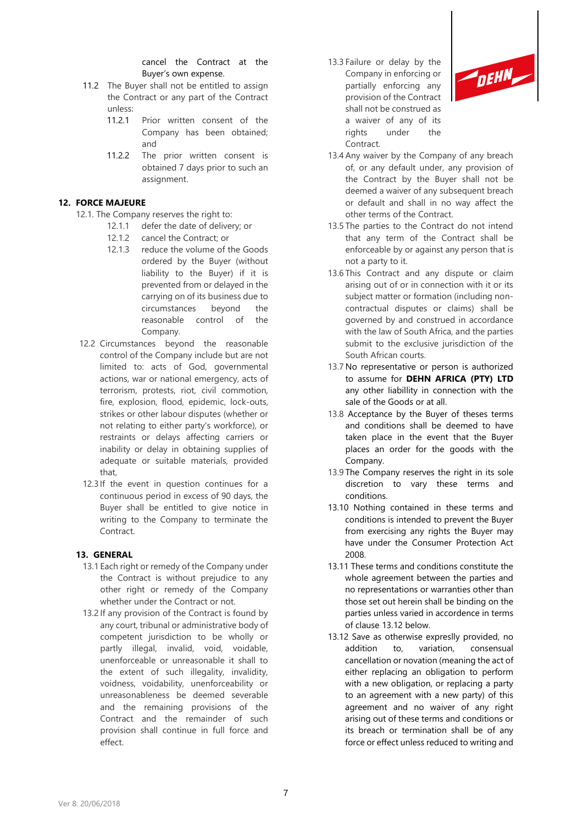### cancel the Contract at the Buyer's own expense.

- 11.2 The Buyer shall not be entitled to assign the Contract or any part of the Contract unless:
	- 11.2.1 Prior written consent of the Company has been obtained; and
	- 11.2.2 The prior written consent is obtained 7 days prior to such an assignment.

## **12. FORCE MAJEURE**

- 12.1. The Company reserves the right to:
	- 12.1.1 defer the date of delivery; or
	- 12.1.2 cancel the Contract; or
	- 12.1.3 reduce the volume of the Goods ordered by the Buyer (without liability to the Buyer) if it is prevented from or delayed in the carrying on of its business due to circumstances beyond the reasonable control of the Company.
- 12.2 Circumstances beyond the reasonable control of the Company include but are not limited to: acts of God, governmental actions, war or national emergency, acts of terrorism, protests, riot, civil commotion, fire, explosion, flood, epidemic, lock-outs, strikes or other labour disputes (whether or not relating to either party's workforce), or restraints or delays affecting carriers or inability or delay in obtaining supplies of adequate or suitable materials, provided that,
- 12.3 If the event in question continues for a continuous period in excess of 90 days, the Buyer shall be entitled to give notice in writing to the Company to terminate the Contract.

## **13. GENERAL**

- 13.1 Each right or remedy of the Company under the Contract is without prejudice to any other right or remedy of the Company whether under the Contract or not.
- 13.2 If any provision of the Contract is found by any court, tribunal or administrative body of competent jurisdiction to be wholly or partly illegal, invalid, void, voidable, unenforceable or unreasonable it shall to the extent of such illegality, invalidity, voidness, voidability, unenforceability or unreasonableness be deemed severable and the remaining provisions of the Contract and the remainder of such provision shall continue in full force and effect.

13.3 Failure or delay by the Company in enforcing or partially enforcing any provision of the Contract shall not be construed as a waiver of any of its rights under the Contract.



- 13.4 Any waiver by the Company of any breach of, or any default under, any provision of the Contract by the Buyer shall not be deemed a waiver of any subsequent breach or default and shall in no way affect the other terms of the Contract.
- 13.5 The parties to the Contract do not intend that any term of the Contract shall be enforceable by or against any person that is not a party to it.
- 13.6 This Contract and any dispute or claim arising out of or in connection with it or its subject matter or formation (including noncontractual disputes or claims) shall be governed by and construed in accordance with the law of South Africa, and the parties submit to the exclusive jurisdiction of the South African courts.
- 13.7 No representative or person is authorized to assume for **DEHN AFRICA (PTY) LTD** any other liabillity in connection with the sale of the Goods or at all.
- 13.8 Acceptance by the Buyer of theses terms and conditions shall be deemed to have taken place in the event that the Buyer places an order for the goods with the Company.
- 13.9 The Company reserves the right in its sole discretion to vary these terms and conditions.
- 13.10 Nothing contained in these terms and conditions is intended to prevent the Buyer from exercising any rights the Buyer may have under the Consumer Protection Act 2008.
- 13.11 These terms and conditions constitute the whole agreement between the parties and no representations or warranties other than those set out herein shall be binding on the parties unless varied in accordence in terms of clause 13.12 below.
- 13.12 Save as otherwise expreslly provided, no addition to, variation, consensual cancellation or novation (meaning the act of either replacing an obligation to perform with a new obligation, or replacing a party to an agreement with a new party) of this agreement and no waiver of any right arising out of these terms and conditions or its breach or termination shall be of any force or effect unless reduced to writing and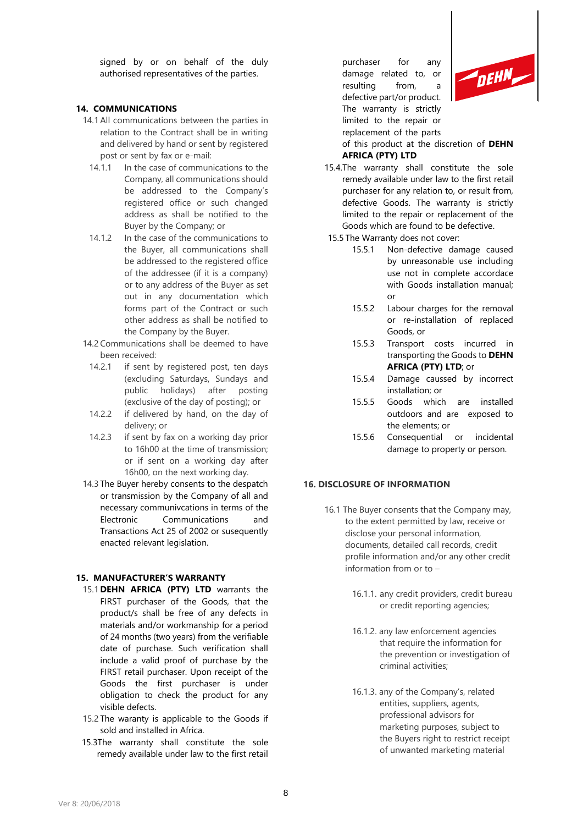signed by or on behalf of the duly authorised representatives of the parties.

### **14. COMMUNICATIONS**

- 14.1 All communications between the parties in relation to the Contract shall be in writing and delivered by hand or sent by registered post or sent by fax or e-mail:
	- 14.1.1 In the case of communications to the Company, all communications should be addressed to the Company's registered office or such changed address as shall be notified to the Buyer by the Company; or
	- 14.1.2 In the case of the communications to the Buyer, all communications shall be addressed to the registered office of the addressee (if it is a company) or to any address of the Buyer as set out in any documentation which forms part of the Contract or such other address as shall be notified to the Company by the Buyer.
- 14.2 Communications shall be deemed to have been received:
	- 14.2.1 if sent by registered post, ten days (excluding Saturdays, Sundays and public holidays) after posting (exclusive of the day of posting); or
- 14.2.2 if delivered by hand, on the day of delivery; or
- 14.2.3 if sent by fax on a working day prior to 16h00 at the time of transmission; or if sent on a working day after 16h00, on the next working day.
- 14.3 The Buyer hereby consents to the despatch or transmission by the Company of all and necessary communivcations in terms of the Electronic Communications and Transactions Act 25 of 2002 or susequently enacted relevant legislation.

#### **15. MANUFACTURER'S WARRANTY**

- 15.1 **DEHN AFRICA (PTY) LTD** warrants the FIRST purchaser of the Goods, that the product/s shall be free of any defects in materials and/or workmanship for a period of 24 months (two years) from the verifiable date of purchase. Such verification shall include a valid proof of purchase by the FIRST retail purchaser. Upon receipt of the Goods the first purchaser is under obligation to check the product for any visible defects.
- 15.2 The waranty is applicable to the Goods if sold and installed in Africa.
- 15.3The warranty shall constitute the sole remedy available under law to the first retail

purchaser for any damage related to, or resulting from, a defective part/or product. The warranty is strictly limited to the repair or replacement of the parts



of this product at the discretion of **DEHN AFRICA (PTY) LTD**

- 15.4.The warranty shall constitute the sole remedy available under law to the first retail purchaser for any relation to, or result from, defective Goods. The warranty is strictly limited to the repair or replacement of the Goods which are found to be defective.
- 15.5 The Warranty does not cover:
	- 15.5.1 Non-defective damage caused by unreasonable use including use not in complete accordace with Goods installation manual; or
	- 15.5.2 Labour charges for the removal or re-installation of replaced Goods, or
	- 15.5.3 Transport costs incurred in transporting the Goods to **DEHN AFRICA (PTY) LTD**; or
	- 15.5.4 Damage caussed by incorrect installation; or
	- 15.5.5 Goods which are installed outdoors and are exposed to the elements; or
	- 15.5.6 Consequential or incidental damage to property or person.

## **16. DISCLOSURE OF INFORMATION**

- 16.1 The Buyer consents that the Company may, to the extent permitted by law, receive or disclose your personal information, documents, detailed call records, credit profile information and/or any other credit information from or to –
	- 16.1.1. any credit providers, credit bureau or credit reporting agencies;
	- 16.1.2. any law enforcement agencies that require the information for the prevention or investigation of criminal activities;
	- 16.1.3. any of the Company's, related entities, suppliers, agents, professional advisors for marketing purposes, subject to the Buyers right to restrict receipt of unwanted marketing material